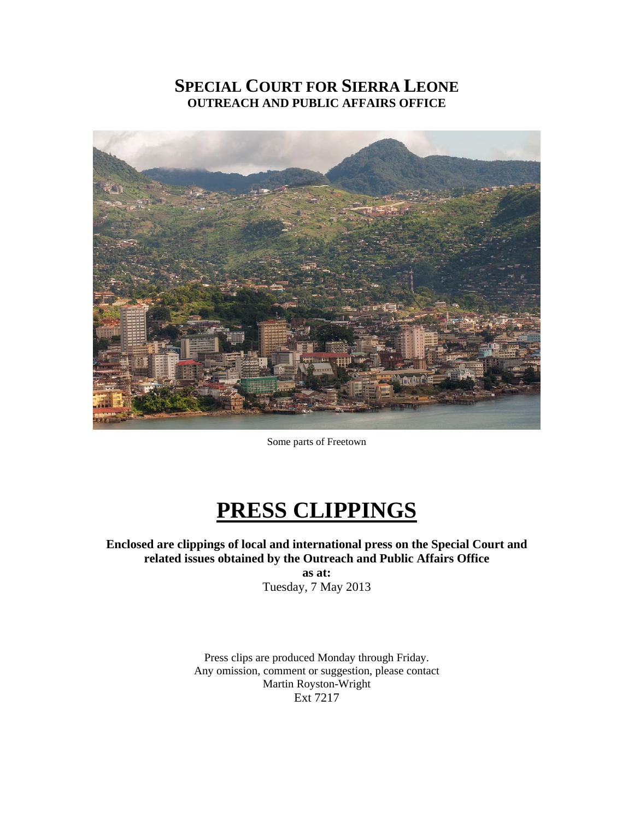# **SPECIAL COURT FOR SIERRA LEONE OUTREACH AND PUBLIC AFFAIRS OFFICE**



Some parts of Freetown

# **PRESS CLIPPINGS**

**Enclosed are clippings of local and international press on the Special Court and related issues obtained by the Outreach and Public Affairs Office** 

**as at:**  Tuesday, 7 May 2013

Press clips are produced Monday through Friday. Any omission, comment or suggestion, please contact Martin Royston-Wright Ext 7217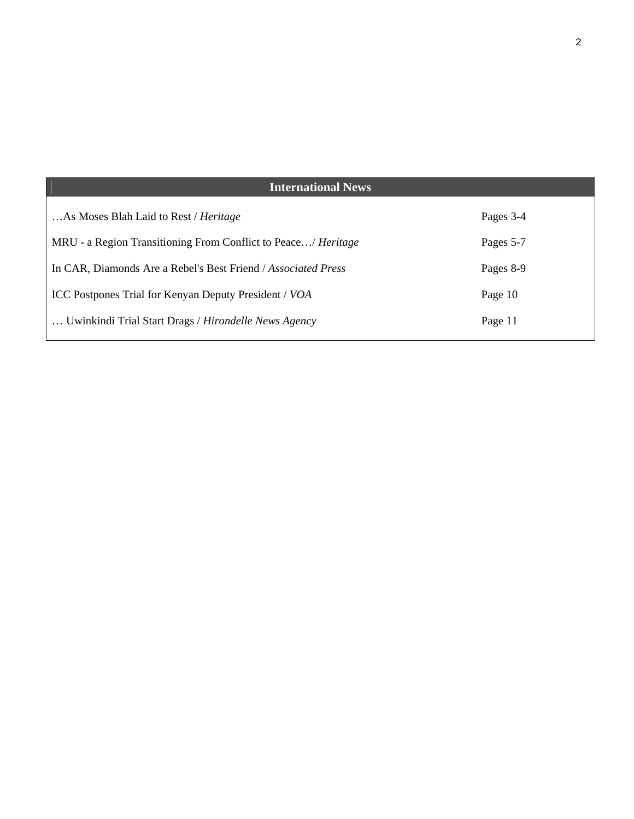| <b>International News</b>                                     |           |
|---------------------------------------------------------------|-----------|
| As Moses Blah Laid to Rest / <i>Heritage</i>                  | Pages 3-4 |
| MRU - a Region Transitioning From Conflict to Peace/ Heritage | Pages 5-7 |
| In CAR, Diamonds Are a Rebel's Best Friend / Associated Press | Pages 8-9 |
| ICC Postpones Trial for Kenyan Deputy President / VOA         | Page 10   |
| Uwinkindi Trial Start Drags / Hirondelle News Agency          | Page 11   |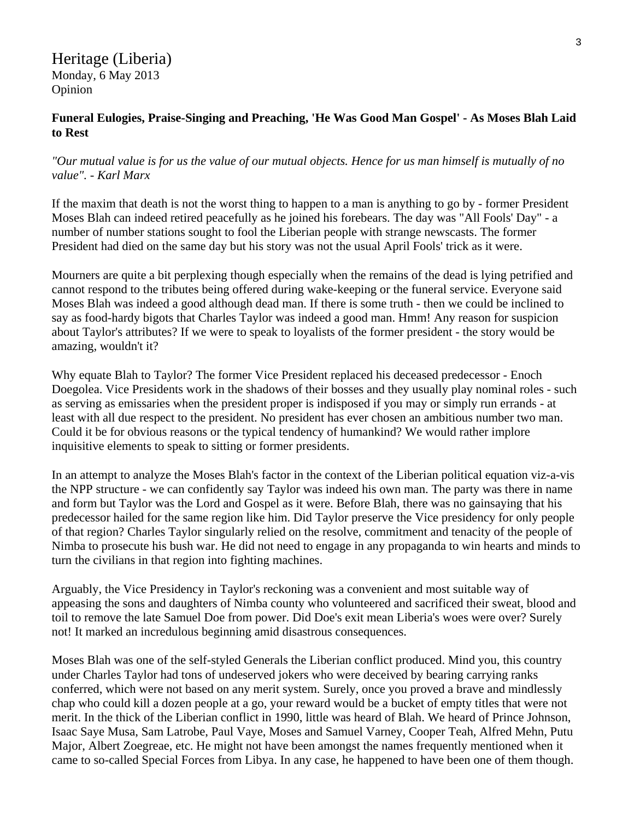Heritage (Liberia) Monday, 6 May 2013 Opinion

#### **Funeral Eulogies, Praise-Singing and Preaching, 'He Was Good Man Gospel' - As Moses Blah Laid to Rest**

#### *"Our mutual value is for us the value of our mutual objects. Hence for us man himself is mutually of no value". - Karl Marx*

If the maxim that death is not the worst thing to happen to a man is anything to go by - former President Moses Blah can indeed retired peacefully as he joined his forebears. The day was "All Fools' Day" - a number of number stations sought to fool the Liberian people with strange newscasts. The former President had died on the same day but his story was not the usual April Fools' trick as it were.

Mourners are quite a bit perplexing though especially when the remains of the dead is lying petrified and cannot respond to the tributes being offered during wake-keeping or the funeral service. Everyone said Moses Blah was indeed a good although dead man. If there is some truth - then we could be inclined to say as food-hardy bigots that Charles Taylor was indeed a good man. Hmm! Any reason for suspicion about Taylor's attributes? If we were to speak to loyalists of the former president - the story would be amazing, wouldn't it?

Why equate Blah to Taylor? The former Vice President replaced his deceased predecessor - Enoch Doegolea. Vice Presidents work in the shadows of their bosses and they usually play nominal roles - such as serving as emissaries when the president proper is indisposed if you may or simply run errands - at least with all due respect to the president. No president has ever chosen an ambitious number two man. Could it be for obvious reasons or the typical tendency of humankind? We would rather implore inquisitive elements to speak to sitting or former presidents.

In an attempt to analyze the Moses Blah's factor in the context of the Liberian political equation viz-a-vis the NPP structure - we can confidently say Taylor was indeed his own man. The party was there in name and form but Taylor was the Lord and Gospel as it were. Before Blah, there was no gainsaying that his predecessor hailed for the same region like him. Did Taylor preserve the Vice presidency for only people of that region? Charles Taylor singularly relied on the resolve, commitment and tenacity of the people of Nimba to prosecute his bush war. He did not need to engage in any propaganda to win hearts and minds to turn the civilians in that region into fighting machines.

Arguably, the Vice Presidency in Taylor's reckoning was a convenient and most suitable way of appeasing the sons and daughters of Nimba county who volunteered and sacrificed their sweat, blood and toil to remove the late Samuel Doe from power. Did Doe's exit mean Liberia's woes were over? Surely not! It marked an incredulous beginning amid disastrous consequences.

Moses Blah was one of the self-styled Generals the Liberian conflict produced. Mind you, this country under Charles Taylor had tons of undeserved jokers who were deceived by bearing carrying ranks conferred, which were not based on any merit system. Surely, once you proved a brave and mindlessly chap who could kill a dozen people at a go, your reward would be a bucket of empty titles that were not merit. In the thick of the Liberian conflict in 1990, little was heard of Blah. We heard of Prince Johnson, Isaac Saye Musa, Sam Latrobe, Paul Vaye, Moses and Samuel Varney, Cooper Teah, Alfred Mehn, Putu Major, Albert Zoegreae, etc. He might not have been amongst the names frequently mentioned when it came to so-called Special Forces from Libya. In any case, he happened to have been one of them though.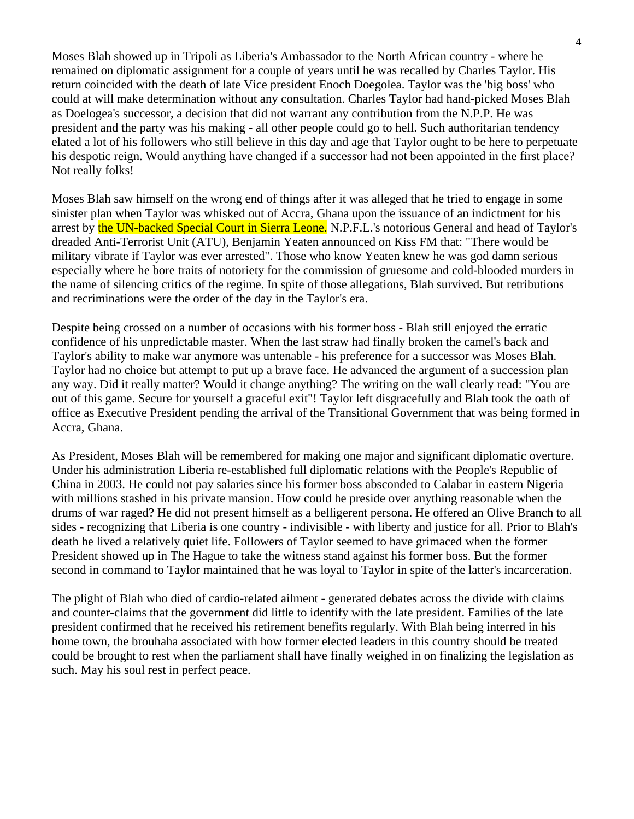Moses Blah showed up in Tripoli as Liberia's Ambassador to the North African country - where he remained on diplomatic assignment for a couple of years until he was recalled by Charles Taylor. His return coincided with the death of late Vice president Enoch Doegolea. Taylor was the 'big boss' who could at will make determination without any consultation. Charles Taylor had hand-picked Moses Blah as Doelogea's successor, a decision that did not warrant any contribution from the N.P.P. He was president and the party was his making - all other people could go to hell. Such authoritarian tendency elated a lot of his followers who still believe in this day and age that Taylor ought to be here to perpetuate his despotic reign. Would anything have changed if a successor had not been appointed in the first place? Not really folks!

Moses Blah saw himself on the wrong end of things after it was alleged that he tried to engage in some sinister plan when Taylor was whisked out of Accra, Ghana upon the issuance of an indictment for his arrest by the UN-backed Special Court in Sierra Leone. N.P.F.L.'s notorious General and head of Taylor's dreaded Anti-Terrorist Unit (ATU), Benjamin Yeaten announced on Kiss FM that: "There would be military vibrate if Taylor was ever arrested". Those who know Yeaten knew he was god damn serious especially where he bore traits of notoriety for the commission of gruesome and cold-blooded murders in the name of silencing critics of the regime. In spite of those allegations, Blah survived. But retributions and recriminations were the order of the day in the Taylor's era.

Despite being crossed on a number of occasions with his former boss - Blah still enjoyed the erratic confidence of his unpredictable master. When the last straw had finally broken the camel's back and Taylor's ability to make war anymore was untenable - his preference for a successor was Moses Blah. Taylor had no choice but attempt to put up a brave face. He advanced the argument of a succession plan any way. Did it really matter? Would it change anything? The writing on the wall clearly read: "You are out of this game. Secure for yourself a graceful exit"! Taylor left disgracefully and Blah took the oath of office as Executive President pending the arrival of the Transitional Government that was being formed in Accra, Ghana.

As President, Moses Blah will be remembered for making one major and significant diplomatic overture. Under his administration Liberia re-established full diplomatic relations with the People's Republic of China in 2003. He could not pay salaries since his former boss absconded to Calabar in eastern Nigeria with millions stashed in his private mansion. How could he preside over anything reasonable when the drums of war raged? He did not present himself as a belligerent persona. He offered an Olive Branch to all sides - recognizing that Liberia is one country - indivisible - with liberty and justice for all. Prior to Blah's death he lived a relatively quiet life. Followers of Taylor seemed to have grimaced when the former President showed up in The Hague to take the witness stand against his former boss. But the former second in command to Taylor maintained that he was loyal to Taylor in spite of the latter's incarceration.

The plight of Blah who died of cardio-related ailment - generated debates across the divide with claims and counter-claims that the government did little to identify with the late president. Families of the late president confirmed that he received his retirement benefits regularly. With Blah being interred in his home town, the brouhaha associated with how former elected leaders in this country should be treated could be brought to rest when the parliament shall have finally weighed in on finalizing the legislation as such. May his soul rest in perfect peace.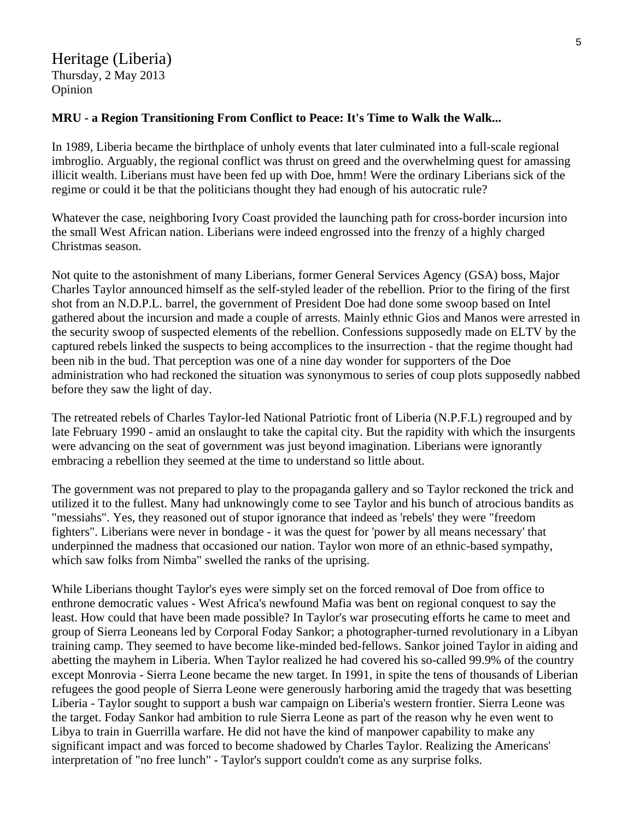# Heritage (Liberia) Thursday, 2 May 2013 Opinion

#### **MRU - a Region Transitioning From Conflict to Peace: It's Time to Walk the Walk...**

In 1989, Liberia became the birthplace of unholy events that later culminated into a full-scale regional imbroglio. Arguably, the regional conflict was thrust on greed and the overwhelming quest for amassing illicit wealth. Liberians must have been fed up with Doe, hmm! Were the ordinary Liberians sick of the regime or could it be that the politicians thought they had enough of his autocratic rule?

Whatever the case, neighboring Ivory Coast provided the launching path for cross-border incursion into the small West African nation. Liberians were indeed engrossed into the frenzy of a highly charged Christmas season.

Not quite to the astonishment of many Liberians, former General Services Agency (GSA) boss, Major Charles Taylor announced himself as the self-styled leader of the rebellion. Prior to the firing of the first shot from an N.D.P.L. barrel, the government of President Doe had done some swoop based on Intel gathered about the incursion and made a couple of arrests. Mainly ethnic Gios and Manos were arrested in the security swoop of suspected elements of the rebellion. Confessions supposedly made on ELTV by the captured rebels linked the suspects to being accomplices to the insurrection - that the regime thought had been nib in the bud. That perception was one of a nine day wonder for supporters of the Doe administration who had reckoned the situation was synonymous to series of coup plots supposedly nabbed before they saw the light of day.

The retreated rebels of Charles Taylor-led National Patriotic front of Liberia (N.P.F.L) regrouped and by late February 1990 - amid an onslaught to take the capital city. But the rapidity with which the insurgents were advancing on the seat of government was just beyond imagination. Liberians were ignorantly embracing a rebellion they seemed at the time to understand so little about.

The government was not prepared to play to the propaganda gallery and so Taylor reckoned the trick and utilized it to the fullest. Many had unknowingly come to see Taylor and his bunch of atrocious bandits as "messiahs". Yes, they reasoned out of stupor ignorance that indeed as 'rebels' they were "freedom fighters". Liberians were never in bondage - it was the quest for 'power by all means necessary' that underpinned the madness that occasioned our nation. Taylor won more of an ethnic-based sympathy, which saw folks from Nimba" swelled the ranks of the uprising.

While Liberians thought Taylor's eyes were simply set on the forced removal of Doe from office to enthrone democratic values - West Africa's newfound Mafia was bent on regional conquest to say the least. How could that have been made possible? In Taylor's war prosecuting efforts he came to meet and group of Sierra Leoneans led by Corporal Foday Sankor; a photographer-turned revolutionary in a Libyan training camp. They seemed to have become like-minded bed-fellows. Sankor joined Taylor in aiding and abetting the mayhem in Liberia. When Taylor realized he had covered his so-called 99.9% of the country except Monrovia - Sierra Leone became the new target. In 1991, in spite the tens of thousands of Liberian refugees the good people of Sierra Leone were generously harboring amid the tragedy that was besetting Liberia - Taylor sought to support a bush war campaign on Liberia's western frontier. Sierra Leone was the target. Foday Sankor had ambition to rule Sierra Leone as part of the reason why he even went to Libya to train in Guerrilla warfare. He did not have the kind of manpower capability to make any significant impact and was forced to become shadowed by Charles Taylor. Realizing the Americans' interpretation of "no free lunch" - Taylor's support couldn't come as any surprise folks.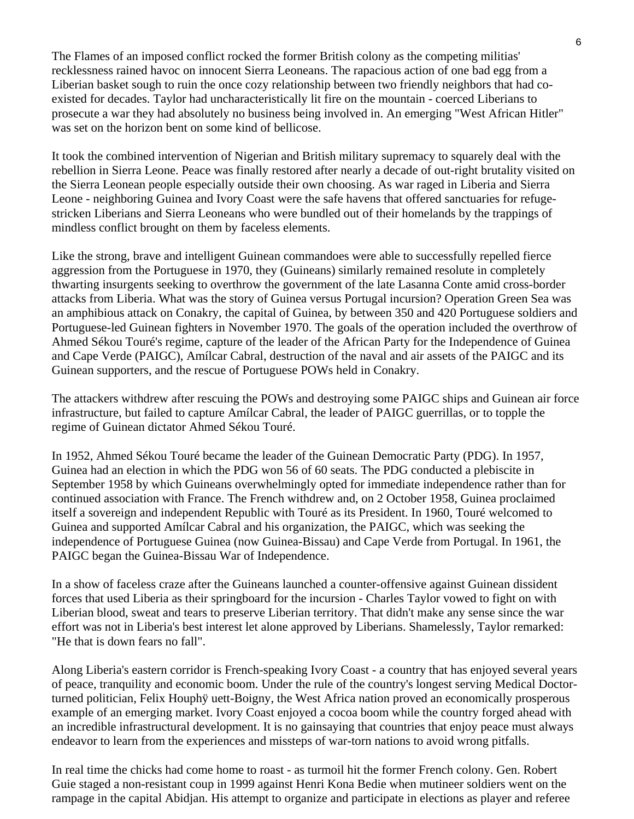The Flames of an imposed conflict rocked the former British colony as the competing militias' recklessness rained havoc on innocent Sierra Leoneans. The rapacious action of one bad egg from a Liberian basket sough to ruin the once cozy relationship between two friendly neighbors that had coexisted for decades. Taylor had uncharacteristically lit fire on the mountain - coerced Liberians to prosecute a war they had absolutely no business being involved in. An emerging "West African Hitler" was set on the horizon bent on some kind of bellicose.

It took the combined intervention of Nigerian and British military supremacy to squarely deal with the rebellion in Sierra Leone. Peace was finally restored after nearly a decade of out-right brutality visited on the Sierra Leonean people especially outside their own choosing. As war raged in Liberia and Sierra Leone - neighboring Guinea and Ivory Coast were the safe havens that offered sanctuaries for refugestricken Liberians and Sierra Leoneans who were bundled out of their homelands by the trappings of mindless conflict brought on them by faceless elements.

Like the strong, brave and intelligent Guinean commandoes were able to successfully repelled fierce aggression from the Portuguese in 1970, they (Guineans) similarly remained resolute in completely thwarting insurgents seeking to overthrow the government of the late Lasanna Conte amid cross-border attacks from Liberia. What was the story of Guinea versus Portugal incursion? Operation Green Sea was an amphibious attack on Conakry, the capital of Guinea, by between 350 and 420 Portuguese soldiers and Portuguese-led Guinean fighters in November 1970. The goals of the operation included the overthrow of Ahmed Sékou Touré's regime, capture of the leader of the African Party for the Independence of Guinea and Cape Verde (PAIGC), Amílcar Cabral, destruction of the naval and air assets of the PAIGC and its Guinean supporters, and the rescue of Portuguese POWs held in Conakry.

The attackers withdrew after rescuing the POWs and destroying some PAIGC ships and Guinean air force infrastructure, but failed to capture Amílcar Cabral, the leader of PAIGC guerrillas, or to topple the regime of Guinean dictator Ahmed Sékou Touré.

In 1952, Ahmed Sékou Touré became the leader of the Guinean Democratic Party (PDG). In 1957, Guinea had an election in which the PDG won 56 of 60 seats. The PDG conducted a plebiscite in September 1958 by which Guineans overwhelmingly opted for immediate independence rather than for continued association with France. The French withdrew and, on 2 October 1958, Guinea proclaimed itself a sovereign and independent Republic with Touré as its President. In 1960, Touré welcomed to Guinea and supported Amílcar Cabral and his organization, the PAIGC, which was seeking the independence of Portuguese Guinea (now Guinea-Bissau) and Cape Verde from Portugal. In 1961, the PAIGC began the Guinea-Bissau War of Independence.

In a show of faceless craze after the Guineans launched a counter-offensive against Guinean dissident forces that used Liberia as their springboard for the incursion - Charles Taylor vowed to fight on with Liberian blood, sweat and tears to preserve Liberian territory. That didn't make any sense since the war effort was not in Liberia's best interest let alone approved by Liberians. Shamelessly, Taylor remarked: "He that is down fears no fall".

Along Liberia's eastern corridor is French-speaking Ivory Coast - a country that has enjoyed several years of peace, tranquility and economic boom. Under the rule of the country's longest serving Medical Doctorturned politician, Felix Houphÿ uett-Boigny, the West Africa nation proved an economically prosperous example of an emerging market. Ivory Coast enjoyed a cocoa boom while the country forged ahead with an incredible infrastructural development. It is no gainsaying that countries that enjoy peace must always endeavor to learn from the experiences and missteps of war-torn nations to avoid wrong pitfalls.

In real time the chicks had come home to roast - as turmoil hit the former French colony. Gen. Robert Guie staged a non-resistant coup in 1999 against Henri Kona Bedie when mutineer soldiers went on the rampage in the capital Abidjan. His attempt to organize and participate in elections as player and referee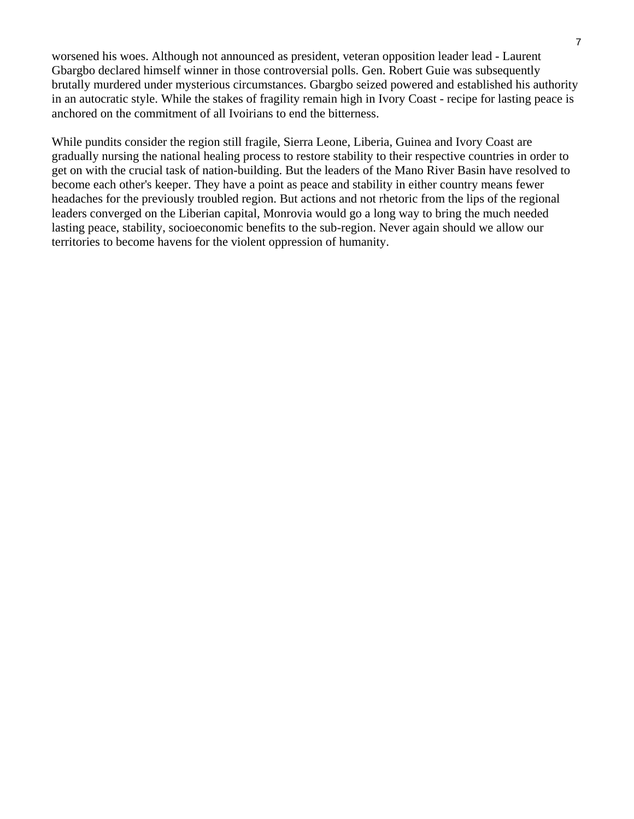worsened his woes. Although not announced as president, veteran opposition leader lead - Laurent Gbargbo declared himself winner in those controversial polls. Gen. Robert Guie was subsequently brutally murdered under mysterious circumstances. Gbargbo seized powered and established his authority in an autocratic style. While the stakes of fragility remain high in Ivory Coast - recipe for lasting peace is anchored on the commitment of all Ivoirians to end the bitterness.

While pundits consider the region still fragile, Sierra Leone, Liberia, Guinea and Ivory Coast are gradually nursing the national healing process to restore stability to their respective countries in order to get on with the crucial task of nation-building. But the leaders of the Mano River Basin have resolved to become each other's keeper. They have a point as peace and stability in either country means fewer headaches for the previously troubled region. But actions and not rhetoric from the lips of the regional leaders converged on the Liberian capital, Monrovia would go a long way to bring the much needed lasting peace, stability, socioeconomic benefits to the sub-region. Never again should we allow our territories to become havens for the violent oppression of humanity.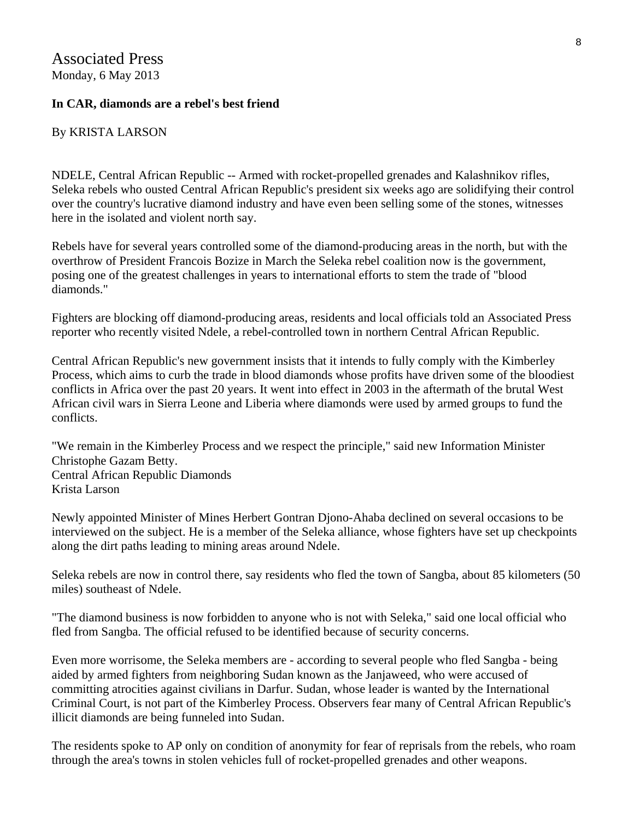# Associated Press Monday, 6 May 2013

#### **In CAR, diamonds are a rebel's best friend**

#### By KRISTA LARSON

NDELE, Central African Republic -- Armed with rocket-propelled grenades and Kalashnikov rifles, Seleka rebels who ousted Central African Republic's president six weeks ago are solidifying their control over the country's lucrative diamond industry and have even been selling some of the stones, witnesses here in the isolated and violent north say.

Rebels have for several years controlled some of the diamond-producing areas in the north, but with the overthrow of President Francois Bozize in March the Seleka rebel coalition now is the government, posing one of the greatest challenges in years to international efforts to stem the trade of "blood diamonds."

Fighters are blocking off diamond-producing areas, residents and local officials told an Associated Press reporter who recently visited Ndele, a rebel-controlled town in northern Central African Republic.

Central African Republic's new government insists that it intends to fully comply with the Kimberley Process, which aims to curb the trade in blood diamonds whose profits have driven some of the bloodiest conflicts in Africa over the past 20 years. It went into effect in 2003 in the aftermath of the brutal West African civil wars in Sierra Leone and Liberia where diamonds were used by armed groups to fund the conflicts.

"We remain in the Kimberley Process and we respect the principle," said new Information Minister Christophe Gazam Betty. Central African Republic Diamonds Krista Larson

Newly appointed Minister of Mines Herbert Gontran Djono-Ahaba declined on several occasions to be interviewed on the subject. He is a member of the Seleka alliance, whose fighters have set up checkpoints along the dirt paths leading to mining areas around Ndele.

Seleka rebels are now in control there, say residents who fled the town of Sangba, about 85 kilometers (50 miles) southeast of Ndele.

"The diamond business is now forbidden to anyone who is not with Seleka," said one local official who fled from Sangba. The official refused to be identified because of security concerns.

Even more worrisome, the Seleka members are - according to several people who fled Sangba - being aided by armed fighters from neighboring Sudan known as the Janjaweed, who were accused of committing atrocities against civilians in Darfur. Sudan, whose leader is wanted by the International Criminal Court, is not part of the Kimberley Process. Observers fear many of Central African Republic's illicit diamonds are being funneled into Sudan.

The residents spoke to AP only on condition of anonymity for fear of reprisals from the rebels, who roam through the area's towns in stolen vehicles full of rocket-propelled grenades and other weapons.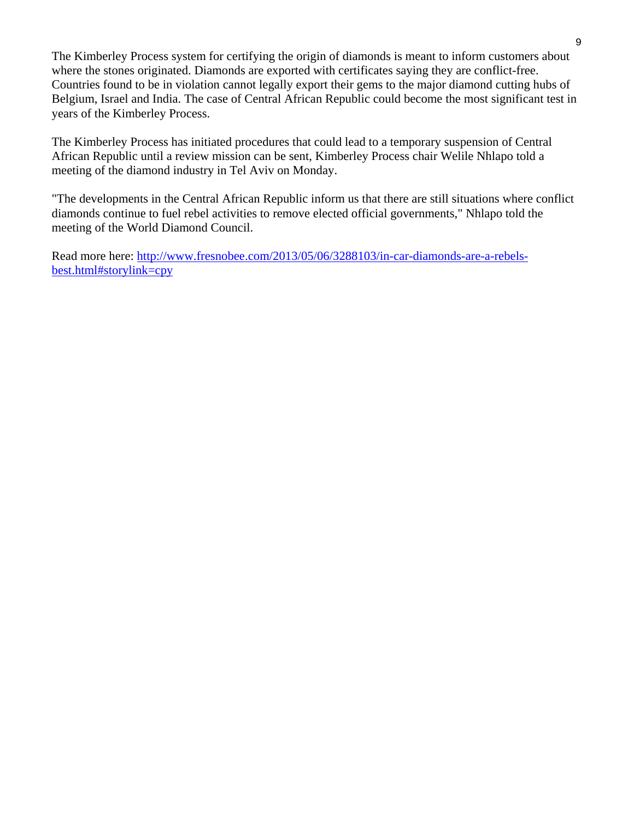The Kimberley Process system for certifying the origin of diamonds is meant to inform customers about where the stones originated. Diamonds are exported with certificates saying they are conflict-free. Countries found to be in violation cannot legally export their gems to the major diamond cutting hubs of Belgium, Israel and India. The case of Central African Republic could become the most significant test in years of the Kimberley Process.

The Kimberley Process has initiated procedures that could lead to a temporary suspension of Central African Republic until a review mission can be sent, Kimberley Process chair Welile Nhlapo told a meeting of the diamond industry in Tel Aviv on Monday.

"The developments in the Central African Republic inform us that there are still situations where conflict diamonds continue to fuel rebel activities to remove elected official governments," Nhlapo told the meeting of the World Diamond Council.

Read more here: [http://www.fresnobee.com/2013/05/06/3288103/in-car-diamonds-are-a-rebels](http://www.fresnobee.com/2013/05/06/3288103/in-car-diamonds-are-a-rebels-best.html#storylink=cpy)[best.html#storylink=cpy](http://www.fresnobee.com/2013/05/06/3288103/in-car-diamonds-are-a-rebels-best.html#storylink=cpy)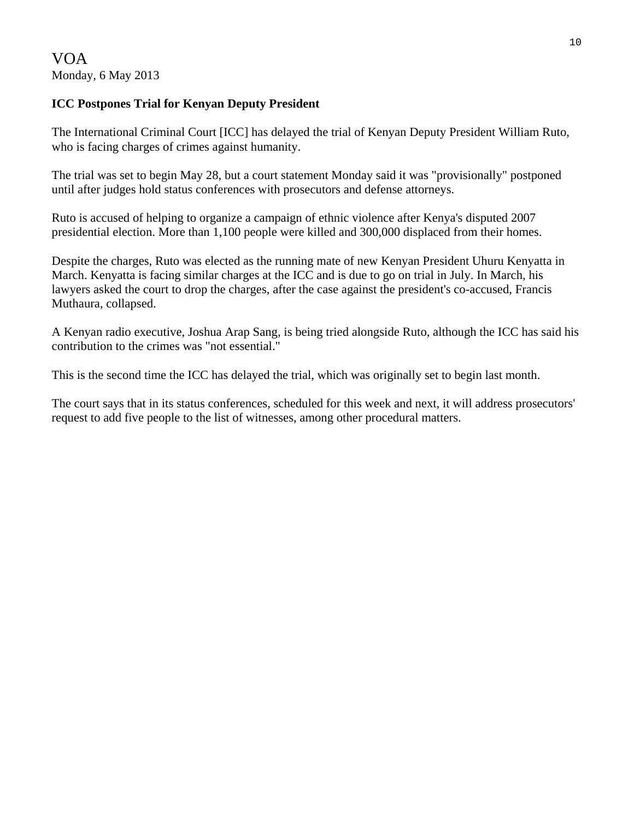## **ICC Postpones Trial for Kenyan Deputy President**

The International Criminal Court [ICC] has delayed the trial of Kenyan Deputy President William Ruto, who is facing charges of crimes against humanity.

The trial was set to begin May 28, but a court statement Monday said it was "provisionally" postponed until after judges hold status conferences with prosecutors and defense attorneys.

Ruto is accused of helping to organize a campaign of ethnic violence after Kenya's disputed 2007 presidential election. More than 1,100 people were killed and 300,000 displaced from their homes.

Despite the charges, Ruto was elected as the running mate of new Kenyan President Uhuru Kenyatta in March. Kenyatta is facing similar charges at the ICC and is due to go on trial in July. In March, his lawyers asked the court to drop the charges, after the case against the president's co-accused, Francis Muthaura, collapsed.

A Kenyan radio executive, Joshua Arap Sang, is being tried alongside Ruto, although the ICC has said his contribution to the crimes was "not essential."

This is the second time the ICC has delayed the trial, which was originally set to begin last month.

The court says that in its status conferences, scheduled for this week and next, it will address prosecutors' request to add five people to the list of witnesses, among other procedural matters.